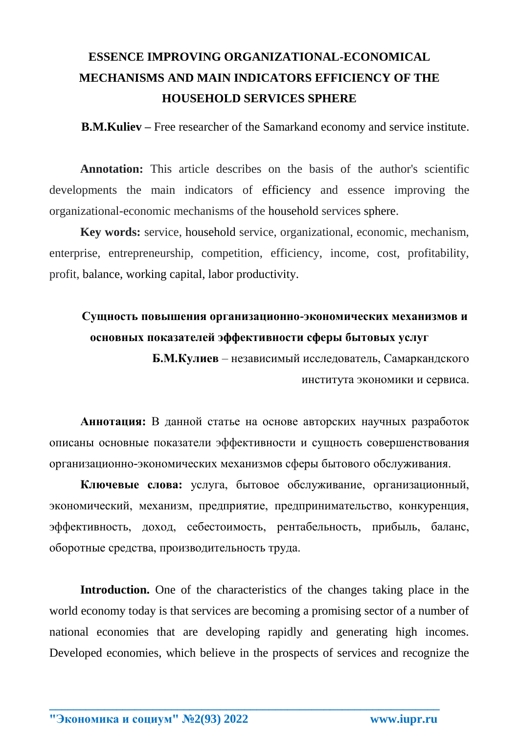## **ESSENCE IMPROVING ORGANIZATIONAL-ECONOMICAL MECHANISMS AND MAIN INDICATORS EFFICIENCY OF THE HOUSEHOLD SERVICES SPHERE**

**B.M.Kuliev** – Free researcher of the Samarkand economy and service institute.

**Annotation:** This article describes on the basis of the author's scientific developments the main indicators of efficiency and essence improving the organizational-economic mechanisms of the household services sphere.

**Key words:** service, household service, organizational, economic, mechanism, enterprise, entrepreneurship, competition, efficiency, income, cost, profitability, profit, balance, working capital, labor productivity.

## **Сущность повышения организационно-экономических механизмов и основных показателей эффективности сферы бытовых услуг**

 **Б.М.Кулиев** – независимый исследователь, Самаркандского института экономики и сервиса.

**Аннотация:** В данной статье на основе авторских научных разработок описаны основные показатели эффективности и сущность совершенствования организационно-экономических механизмов сферы бытового обслуживания.

**Ключевые слова:** услуга, бытовое обслуживание, организационный, экономический, механизм, предприятие, предпринимательство, конкуренция, эффективность, доход, себестоимость, рентабельность, прибыль, баланс, оборотные средства, производительность труда.

**Introduction.** One of the characteristics of the changes taking place in the world economy today is that services are becoming a promising sector of a number of national economies that are developing rapidly and generating high incomes. Developed economies, which believe in the prospects of services and recognize the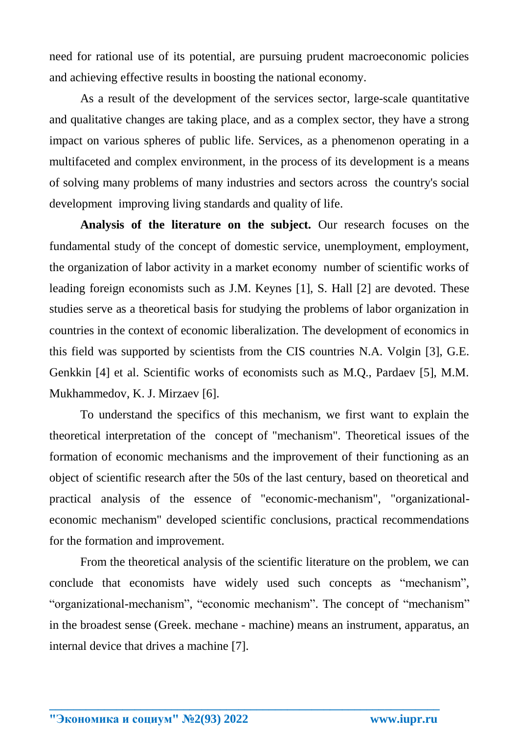need for rational use of its potential, are pursuing prudent macroeconomic policies and achieving effective results in boosting the national economy.

As a result of the development of the services sector, large-scale quantitative and qualitative changes are taking place, and as a complex sector, they have a strong impact on various spheres of public life. Services, as a phenomenon operating in a multifaceted and complex environment, in the process of its development is a means of solving many problems of many industries and sectors across the country's social development improving living standards and quality of life.

**Analysis of the literature on the subject.** Our research focuses on the fundamental study of the concept of domestic service, unemployment, employment, the organization of labor activity in a market economy number of scientific works of leading foreign economists such as J.M. Keynes [1], S. Hall [2] are devoted. These studies serve as a theoretical basis for studying the problems of labor organization in countries in the context of economic liberalization. The development of economics in this field was supported by scientists from the CIS countries N.A. Volgin [3], G.E. Genkkin [4] et al. Scientific works of economists such as M.Q., Pardaev [5], M.M. Mukhammedov, K. J. Mirzaev [6].

To understand the specifics of this mechanism, we first want to explain the theoretical interpretation of the concept of "mechanism". Theoretical issues of the formation of economic mechanisms and the improvement of their functioning as an object of scientific research after the 50s of the last century, based on theoretical and practical analysis of the essence of "economic-mechanism", "organizationaleconomic mechanism" developed scientific conclusions, practical recommendations for the formation and improvement.

From the theoretical analysis of the scientific literature on the problem, we can conclude that economists have widely used such concepts as "mechanism", "organizational-mechanism", "economic mechanism". The concept of "mechanism" in the broadest sense (Greek. mechane - machine) means an instrument, apparatus, an internal device that drives a machine [7].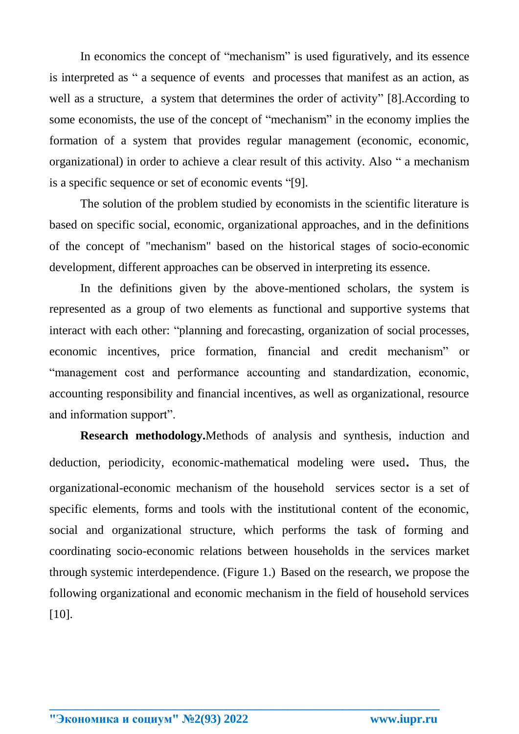In economics the concept of "mechanism" is used figuratively, and its essence is interpreted as " a sequence of events and processes that manifest as an action, as well as a structure, a system that determines the order of activity" [8].According to some economists, the use of the concept of "mechanism" in the economy implies the formation of a system that provides regular management (economic, economic, organizational) in order to achieve a clear result of this activity. Also " a mechanism is a specific sequence or set of economic events "[9].

The solution of the problem studied by economists in the scientific literature is based on specific social, economic, organizational approaches, and in the definitions of the concept of "mechanism" based on the historical stages of socio-economic development, different approaches can be observed in interpreting its essence.

In the definitions given by the above-mentioned scholars, the system is represented as a group of two elements as functional and supportive systems that interact with each other: "planning and forecasting, organization of social processes, economic incentives, price formation, financial and credit mechanism" or "management cost and performance accounting and standardization, economic, accounting responsibility and financial incentives, as well as organizational, resource and information support".

**Research methodology.**Methods of analysis and synthesis, induction and deduction, periodicity, economic-mathematical modeling were used. Thus, the organizational-economic mechanism of the household services sector is a set of specific elements, forms and tools with the institutional content of the economic, social and organizational structure, which performs the task of forming and coordinating socio-economic relations between households in the services market through systemic interdependence. (Figure 1.) Based on the research, we propose the following organizational and economic mechanism in the field of household services [10].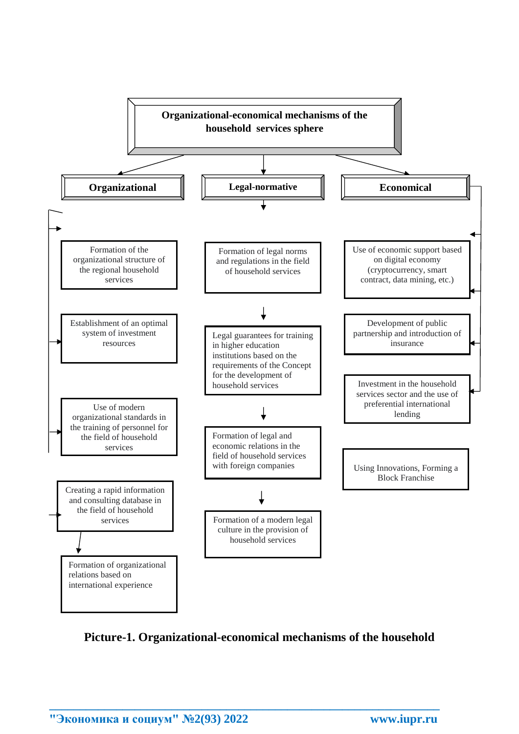

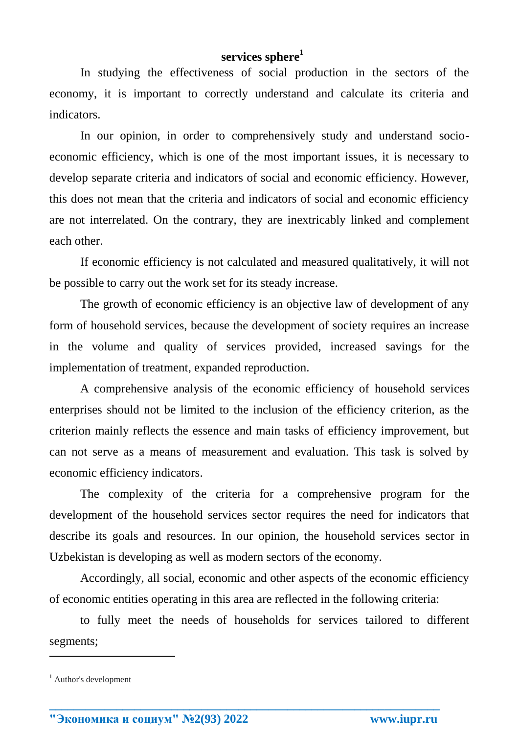## **services sphere<sup>1</sup>**

In studying the effectiveness of social production in the sectors of the economy, it is important to correctly understand and calculate its criteria and indicators.

In our opinion, in order to comprehensively study and understand socioeconomic efficiency, which is one of the most important issues, it is necessary to develop separate criteria and indicators of social and economic efficiency. However, this does not mean that the criteria and indicators of social and economic efficiency are not interrelated. On the contrary, they are inextricably linked and complement each other.

If economic efficiency is not calculated and measured qualitatively, it will not be possible to carry out the work set for its steady increase.

The growth of economic efficiency is an objective law of development of any form of household services, because the development of society requires an increase in the volume and quality of services provided, increased savings for the implementation of treatment, expanded reproduction.

A comprehensive analysis of the economic efficiency of household services enterprises should not be limited to the inclusion of the efficiency criterion, as the criterion mainly reflects the essence and main tasks of efficiency improvement, but can not serve as a means of measurement and evaluation. This task is solved by economic efficiency indicators.

The complexity of the criteria for a comprehensive program for the development of the household services sector requires the need for indicators that describe its goals and resources. In our opinion, the household services sector in Uzbekistan is developing as well as modern sectors of the economy.

Accordingly, all social, economic and other aspects of the economic efficiency of economic entities operating in this area are reflected in the following criteria:

to fully meet the needs of households for services tailored to different segments;

**\_\_\_\_\_\_\_\_\_\_\_\_\_\_\_\_\_\_\_\_\_\_\_\_\_\_\_\_\_\_\_\_\_\_\_\_\_\_\_\_\_\_\_\_\_\_\_\_\_\_\_\_\_\_\_\_\_\_\_\_\_\_\_\_**

**.** 

<sup>&</sup>lt;sup>1</sup> Author's development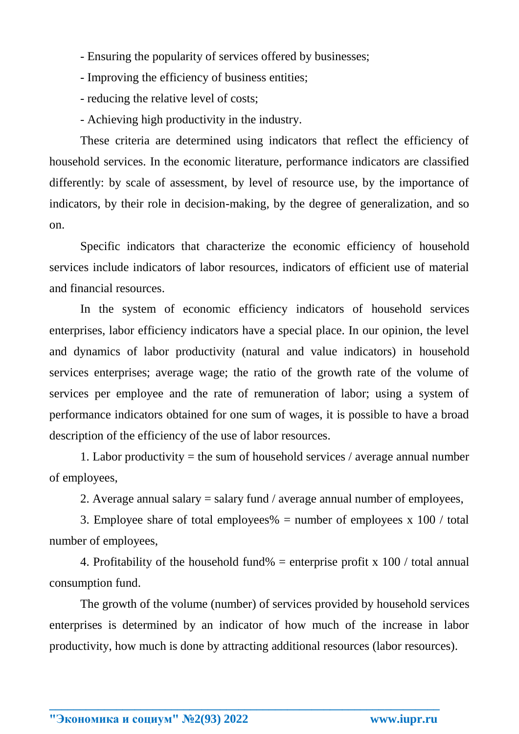- Ensuring the popularity of services offered by businesses;
- Improving the efficiency of business entities;
- reducing the relative level of costs;
- Achieving high productivity in the industry.

These criteria are determined using indicators that reflect the efficiency of household services. In the economic literature, performance indicators are classified differently: by scale of assessment, by level of resource use, by the importance of indicators, by their role in decision-making, by the degree of generalization, and so on.

Specific indicators that characterize the economic efficiency of household services include indicators of labor resources, indicators of efficient use of material and financial resources.

In the system of economic efficiency indicators of household services enterprises, labor efficiency indicators have a special place. In our opinion, the level and dynamics of labor productivity (natural and value indicators) in household services enterprises; average wage; the ratio of the growth rate of the volume of services per employee and the rate of remuneration of labor; using a system of performance indicators obtained for one sum of wages, it is possible to have a broad description of the efficiency of the use of labor resources.

1. Labor productivity  $=$  the sum of household services / average annual number of employees,

2. Average annual salary = salary fund / average annual number of employees,

3. Employee share of total employees  $\%$  = number of employees x 100 / total number of employees,

4. Profitability of the household fund  $\%$  = enterprise profit x 100 / total annual consumption fund.

The growth of the volume (number) of services provided by household services enterprises is determined by an indicator of how much of the increase in labor productivity, how much is done by attracting additional resources (labor resources).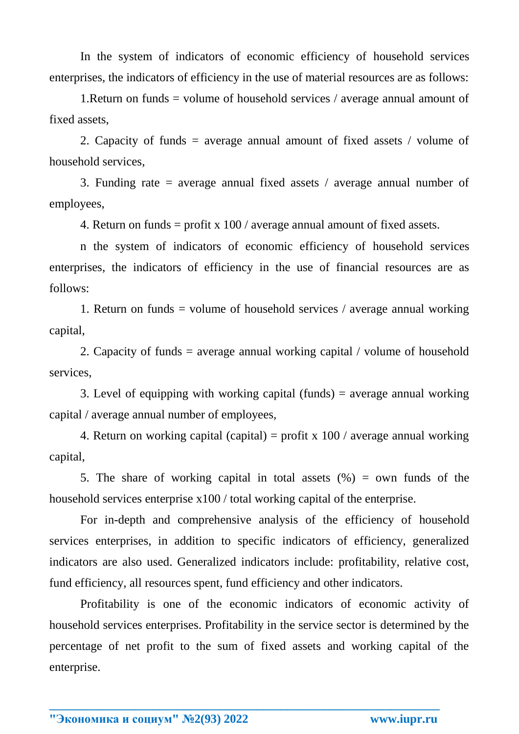In the system of indicators of economic efficiency of household services enterprises, the indicators of efficiency in the use of material resources are as follows:

1.Return on funds = volume of household services / average annual amount of fixed assets,

2. Capacity of funds = average annual amount of fixed assets / volume of household services,

3. Funding rate = average annual fixed assets / average annual number of employees,

4. Return on funds = profit x  $100 /$  average annual amount of fixed assets.

n the system of indicators of economic efficiency of household services enterprises, the indicators of efficiency in the use of financial resources are as follows:

1. Return on funds = volume of household services / average annual working capital,

2. Capacity of funds = average annual working capital / volume of household services,

3. Level of equipping with working capital (funds) = average annual working capital / average annual number of employees,

4. Return on working capital (capital) = profit x  $100/$  average annual working capital,

5. The share of working capital in total assets  $(\%)$  = own funds of the household services enterprise x100 / total working capital of the enterprise.

For in-depth and comprehensive analysis of the efficiency of household services enterprises, in addition to specific indicators of efficiency, generalized indicators are also used. Generalized indicators include: profitability, relative cost, fund efficiency, all resources spent, fund efficiency and other indicators.

Profitability is one of the economic indicators of economic activity of household services enterprises. Profitability in the service sector is determined by the percentage of net profit to the sum of fixed assets and working capital of the enterprise.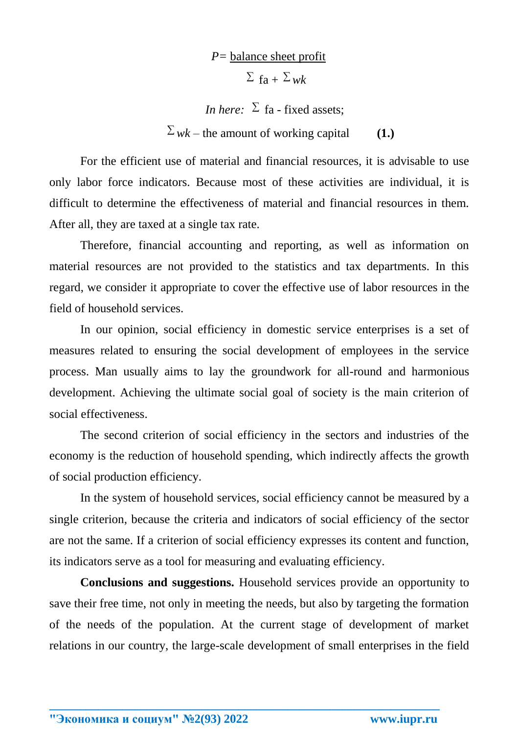*P=* balance sheet profit  $\sum$   $_{fa +} \sum_{wk}$ *In here:*  $\Sigma$  fa - fixed assets;  $\sum$  *wk* – the amount of working capital (1.)

For the efficient use of material and financial resources, it is advisable to use only labor force indicators. Because most of these activities are individual, it is difficult to determine the effectiveness of material and financial resources in them. After all, they are taxed at a single tax rate.

Therefore, financial accounting and reporting, as well as information on material resources are not provided to the statistics and tax departments. In this regard, we consider it appropriate to cover the effective use of labor resources in the field of household services.

In our opinion, social efficiency in domestic service enterprises is a set of measures related to ensuring the social development of employees in the service process. Man usually aims to lay the groundwork for all-round and harmonious development. Achieving the ultimate social goal of society is the main criterion of social effectiveness.

The second criterion of social efficiency in the sectors and industries of the economy is the reduction of household spending, which indirectly affects the growth of social production efficiency.

In the system of household services, social efficiency cannot be measured by a single criterion, because the criteria and indicators of social efficiency of the sector are not the same. If a criterion of social efficiency expresses its content and function, its indicators serve as a tool for measuring and evaluating efficiency.

**Conclusions and suggestions.** Household services provide an opportunity to save their free time, not only in meeting the needs, but also by targeting the formation of the needs of the population. At the current stage of development of market relations in our country, the large-scale development of small enterprises in the field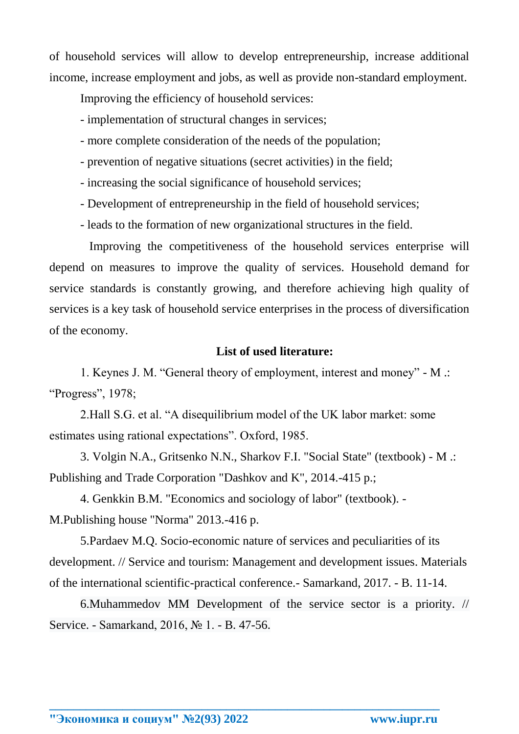of household services will allow to develop entrepreneurship, increase additional income, increase employment and jobs, as well as provide non-standard employment.

Improving the efficiency of household services:

- implementation of structural changes in services;
- more complete consideration of the needs of the population;
- prevention of negative situations (secret activities) in the field;
- increasing the social significance of household services;
- Development of entrepreneurship in the field of household services;
- leads to the formation of new organizational structures in the field.

Improving the competitiveness of the household services enterprise will depend on measures to improve the quality of services. Household demand for service standards is constantly growing, and therefore achieving high quality of services is a key task of household service enterprises in the process of diversification of the economy.

## **List of used literature:**

1. Keynes J. M. "General theory of employment, interest and money" - M .: "Progress", 1978;

2.Hall S.G. et al. "A disequilibrium model of the UK labor market: some estimates using rational expectations". Oxford, 1985.

3. Volgin N.A., Gritsenko N.N., Sharkov F.I. "Social State" (textbook) - M .: Publishing and Trade Corporation "Dashkov and K", 2014.-415 p.;

4. Genkkin B.M. "Economics and sociology of labor" (textbook). - M.Publishing house "Norma" 2013.-416 p.

5.Pardaev M.Q. Socio-economic nature of services and peculiarities of its development. // Service and tourism: Management and development issues. Materials of the international scientific-practical conference.- Samarkand, 2017. - B. 11-14.

6.Muhammedov MM Development of the service sector is a priority. // Service. - Samarkand, 2016, № 1. - B. 47-56.